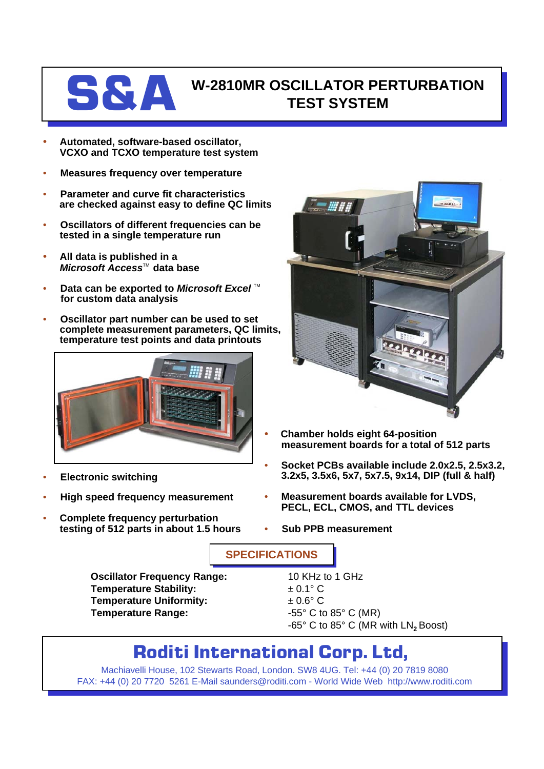

## **S&A** W-2810MR OSCILLATOR PERTURBATION **TEST SYSTEM**

- **Automated, software-based oscillator, VCXO and TCXO temperature test system**
- **Measures frequency over temperature**
- **Parameter and curve fit characteristics are checked against easy to define QC limits**
- **Oscillators of different frequencies can be tested in a single temperature run**
- **All data is published in a** *Microsoft Access*™ data base
- **Data can be exported to Microsoft Excel**™ **for custom data analysis**
- **Oscillator part number can be used to set complete measurement parameters, QC limits, temperature test points and data printouts**



- **Electronic switching**
- **High speed frequency measurement**
- **Complete frequency perturbation testing of 512 parts in about 1.5 hours**



- **Chamber holds eight 64-position measurement boards for a total of 512 parts**
- **Socket PCBs available include 2.0x2.5, 2.5x3.2, 3.2x5, 3.5x6, 5x7, 5x7.5, 9x14, DIP (full & half)**
- **Measurement boards available for LVDS, PECL, ECL, CMOS, and TTL devices**
- **Sub PPB measurement**

**SPECIFICATIONS**

**Oscillator Frequency Range:** 10 KHz to 1 GHz **Temperature Stability:**  $\qquad 20.1^{\circ} \text{ C}$ **Temperature Uniformity:**  $\qquad 2.6^{\circ}$  C **Temperature Range:**  $-55^{\circ}$  C to 85° C (MR)

-65° C to 85° C (MR with LN<sub>2</sub> Boost)

## **Roditi International Corp. Ltd,**

Machiavelli House, 102 Stewarts Road, London. SW8 4UG. Tel: +44 (0) 20 7819 8080 FAX: +44 (0) 20 7720 5261 E-Mail saunders@roditi.com - World Wide Web http://www.roditi.com